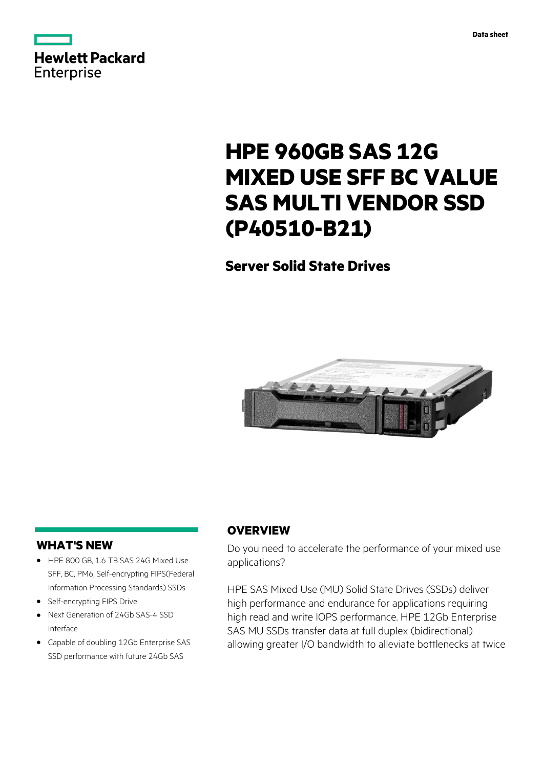



# **HPE 960GB SAS 12G MIXED USE SFF BC VALUE SAS MULTI VENDOR SSD (P40510-B21)**

# **Server Solid State Drives**



### **WHAT'S NEW**

- **·** HPE 800 GB, 1.6 TB SAS 24G Mixed Use SFF, BC, PM6, Self-encrypting FIPS(Federal Information Processing Standards) SSDs
- **·** Self-encrypting FIPS Drive
- **·** Next Generation of 24Gb SAS-4 SSD Interface
- **·** Capable of doubling 12Gb Enterprise SAS SSD performance with future 24Gb SAS

### **OVERVIEW**

Do you need to accelerate the performance of your mixed use applications?

HPE SAS Mixed Use (MU) Solid State Drives (SSDs) deliver high performance and endurance for applications requiring high read and write IOPS performance. HPE 12Gb Enterprise SAS MU SSDs transfer data at full duplex (bidirectional) allowing greater I/O bandwidth to alleviate bottlenecks at twice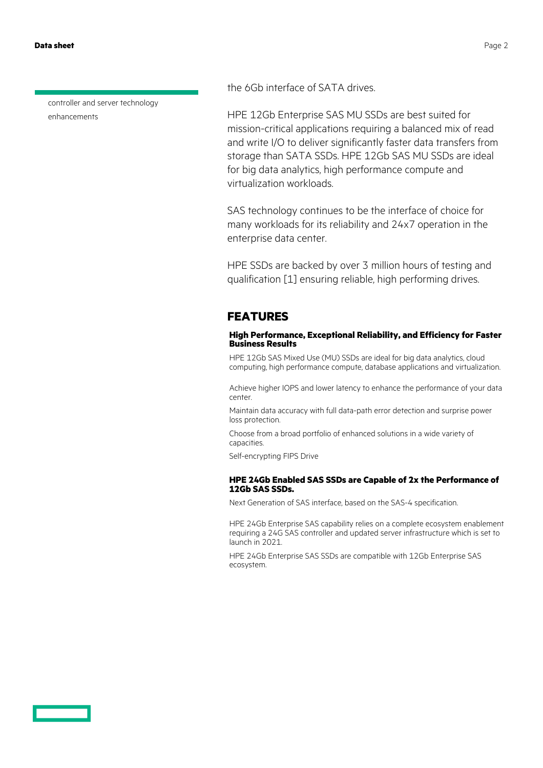**Data sheet** Page 2

controller and server technology enhancements

the 6Gb interface of SATA drives.

HPE 12Gb Enterprise SAS MU SSDs are best suited for mission-critical applications requiring a balanced mix of read and write I/O to deliver significantly faster data transfers from storage than SATA SSDs. HPE 12Gb SAS MU SSDs are ideal for big data analytics, high performance compute and virtualization workloads.

SAS technology continues to be the interface of choice for many workloads for its reliability and 24x7 operation in the enterprise data center.

HPE SSDs are backed by over 3 million hours of testing and qualification [1] ensuring reliable, high performing drives.

### **FEATURES**

### **High Performance, Exceptional Reliability, and Efficiency for Faster Business Results**

HPE 12Gb SAS Mixed Use (MU) SSDs are ideal for big data analytics, cloud computing, high performance compute, database applications and virtualization.

Achieve higher IOPS and lower latency to enhance the performance of your data center.

Maintain data accuracy with full data-path error detection and surprise power loss protection.

Choose from a broad portfolio of enhanced solutions in a wide variety of capacities.

Self-encrypting FIPS Drive

### **HPE 24Gb Enabled SAS SSDs are Capable of 2x the Performance of 12Gb SAS SSDs.**

Next Generation of SAS interface, based on the SAS-4 specification.

HPE 24Gb Enterprise SAS capability relies on a complete ecosystem enablement requiring a 24G SAS controller and updated server infrastructure which is set to launch in 2021.

HPE 24Gb Enterprise SAS SSDs are compatible with 12Gb Enterprise SAS ecosystem.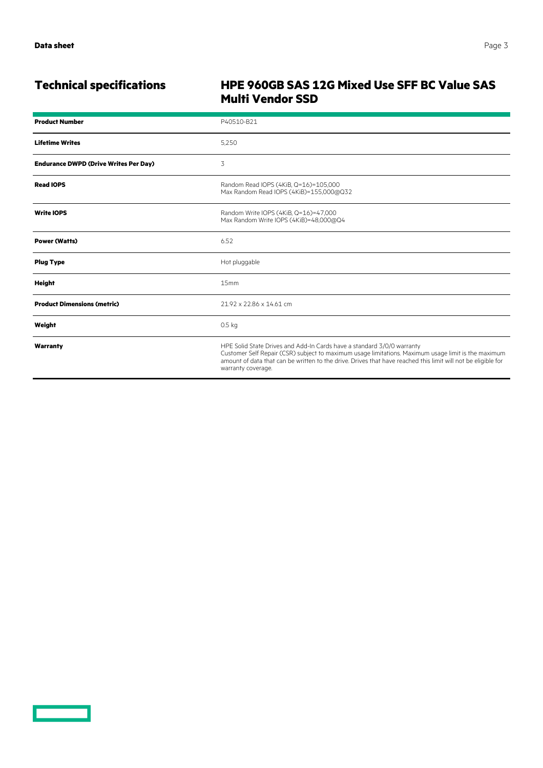<u>a sa san</u>

# **Technical specifications HPE 960GB SAS 12G Mixed Use SFF BC Value SAS Multi Vendor SSD**

| <b>Product Number</b>                        | P40510-B21                                                                                                                                                                                                                                                                                                           |
|----------------------------------------------|----------------------------------------------------------------------------------------------------------------------------------------------------------------------------------------------------------------------------------------------------------------------------------------------------------------------|
| <b>Lifetime Writes</b>                       | 5,250                                                                                                                                                                                                                                                                                                                |
| <b>Endurance DWPD (Drive Writes Per Day)</b> | 3                                                                                                                                                                                                                                                                                                                    |
| <b>Read IOPS</b>                             | Random Read IOPS (4KiB, Q=16)=105,000<br>Max Random Read IOPS (4KiB)=155,000@Q32                                                                                                                                                                                                                                     |
| <b>Write IOPS</b>                            | Random Write IOPS (4KiB, Q=16)=47,000<br>Max Random Write IOPS (4KiB)=48,000@Q4                                                                                                                                                                                                                                      |
| <b>Power (Watts)</b>                         | 6.52                                                                                                                                                                                                                                                                                                                 |
| <b>Plug Type</b>                             | Hot pluggable                                                                                                                                                                                                                                                                                                        |
| Height                                       | 15mm                                                                                                                                                                                                                                                                                                                 |
| <b>Product Dimensions (metric)</b>           | 21.92 x 22.86 x 14.61 cm                                                                                                                                                                                                                                                                                             |
| Weight                                       | 0.5 <sub>kq</sub>                                                                                                                                                                                                                                                                                                    |
| Warranty                                     | HPE Solid State Drives and Add-In Cards have a standard 3/0/0 warranty<br>Customer Self Repair (CSR) subject to maximum usage limitations. Maximum usage limit is the maximum<br>amount of data that can be written to the drive. Drives that have reached this limit will not be eligible for<br>warranty coverage. |